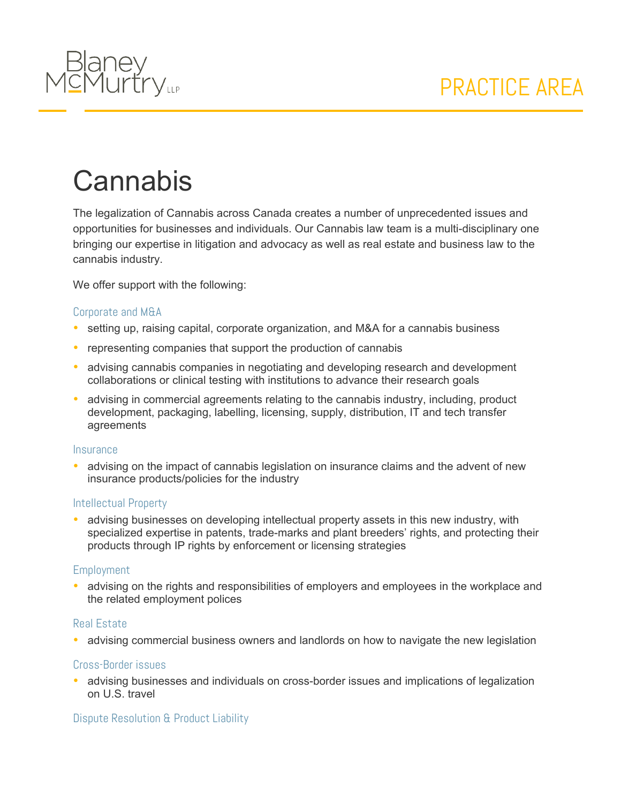

# **Cannabis**

The legalization of Cannabis across Canada creates a number of unprecedented issues and opportunities for businesses and individuals. Our Cannabis law team is a multi-disciplinary one bringing our expertise in litigation and advocacy as well as real estate and business law to the cannabis industry.

We offer support with the following:

#### Corporate and M&A

- setting up, raising capital, corporate organization, and M&A for a cannabis business
- representing companies that support the production of cannabis
- advising cannabis companies in negotiating and developing research and development collaborations or clinical testing with institutions to advance their research goals
- advising in commercial agreements relating to the cannabis industry, including, product development, packaging, labelling, licensing, supply, distribution, IT and tech transfer agreements

#### **Insurance**

 advising on the impact of cannabis legislation on insurance claims and the advent of new insurance products/policies for the industry

#### Intellectual Property

 advising businesses on developing intellectual property assets in this new industry, with specialized expertise in patents, trade-marks and plant breeders' rights, and protecting their products through IP rights by enforcement or licensing strategies

#### **Employment**

• advising on the rights and responsibilities of employers and employees in the workplace and the related employment polices

#### Real Estate

advising commercial business owners and landlords on how to navigate the new legislation

#### Cross-Border issues

• advising businesses and individuals on cross-border issues and implications of legalization on U.S. travel

#### Dispute Resolution & Product Liability